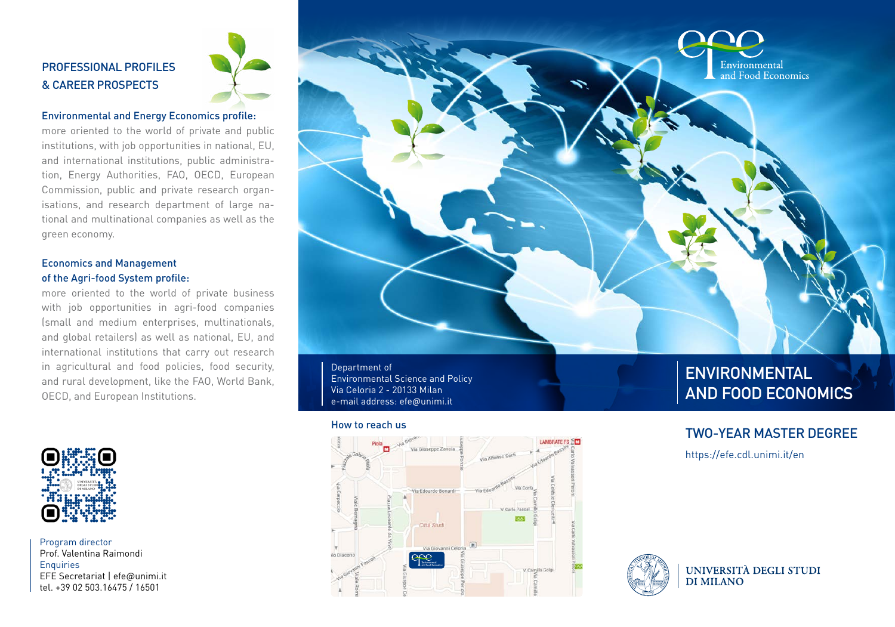# PROFESSIONAL PROFILES & CAREER PROSPECTS



## Environmental and Energy Economics profile:

more oriented to the world of private and public institutions, with job opportunities in national, EU, and international institutions, public administration, Energy Authorities, FAO, OECD, European Commission, public and private research organisations, and research department of large national and multinational companies as well as the green economy.

# Economics and Management of the Agri-food System profile:

more oriented to the world of private business with job opportunities in agri-food companies (small and medium enterprises, multinationals, and global retailers) as well as national, EU, and international institutions that carry out research in agricultural and food policies, food security, and rural development, like the FAO, World Bank, OECD, and European Institutions.



Program director Prof. Valentina Raimondi **Enquiries** EFE Secretariat | efe@unimi.it tel. +39 02 503.16475 / 16501



Department of Environmental Science and Policy Via Celoria 2 - 20133 Milan e-mail address: efe@unimi.it

#### How to reach us



# **ENVIRONMENTAL AND FOOD ECONOMICS**

# TWO-YEAR MASTER DEGREE

https://efe.cdl.unimi.it/en